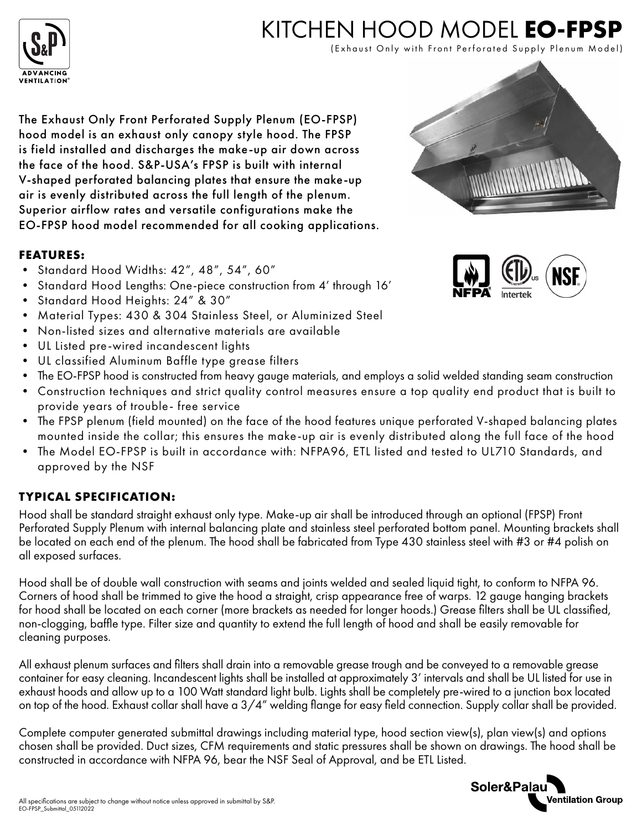

# KITCHEN HOOD MODEL **EO-FPSP**

(Exhaust Only with Front Perforated Supply Plenum Model)

The Exhaust Only Front Perforated Supply Plenum (EO-FPSP) hood model is an exhaust only canopy style hood. The FPSP is field installed and discharges the make-up air down across the face of the hood. S&P-USA's FPSP is built with internal V-shaped perforated balancing plates that ensure the make-up air is evenly distributed across the full length of the plenum. Superior airflow rates and versatile configurations make the EO-FPSP hood model recommended for all cooking applications.

#### **FEATURES:**

- Standard Hood Widths: 42", 48", 54", 60"
- Standard Hood Lengths: One-piece construction from 4' through 16'
- Standard Hood Heights: 24" & 30"
- Material Types: 430 & 304 Stainless Steel, or Aluminized Steel
- Non-listed sizes and alternative materials are available
- UL Listed pre-wired incandescent lights
- UL classified Aluminum Baffle type grease filters
- The EO-FPSP hood is constructed from heavy gauge materials, and employs a solid welded standing seam construction
- Construction techniques and strict quality control measures ensure a top quality end product that is built to provide years of trouble- free service
- The FPSP plenum (field mounted) on the face of the hood features unique perforated V-shaped balancing plates mounted inside the collar; this ensures the make-up air is evenly distributed along the full face of the hood
- The Model EO-FPSP is built in accordance with: NFPA96, ETL listed and tested to UL710 Standards, and approved by the NSF

#### **TYPICAL SPECIFICATION:**

Hood shall be standard straight exhaust only type. Make-up air shall be introduced through an optional (FPSP) Front Perforated Supply Plenum with internal balancing plate and stainless steel perforated bottom panel. Mounting brackets shall be located on each end of the plenum. The hood shall be fabricated from Type 430 stainless steel with #3 or #4 polish on all exposed surfaces.

Hood shall be of double wall construction with seams and joints welded and sealed liquid tight, to conform to NFPA 96. Corners of hood shall be trimmed to give the hood a straight, crisp appearance free of warps. 12 gauge hanging brackets for hood shall be located on each corner (more brackets as needed for longer hoods.) Grease filters shall be UL classified, non-clogging, baffle type. Filter size and quantity to extend the full length of hood and shall be easily removable for cleaning purposes.

All exhaust plenum surfaces and filters shall drain into a removable grease trough and be conveyed to a removable grease container for easy cleaning. Incandescent lights shall be installed at approximately 3' intervals and shall be UL listed for use in exhaust hoods and allow up to a 100 Watt standard light bulb. Lights shall be completely pre-wired to a junction box located on top of the hood. Exhaust collar shall have a 3/4" welding flange for easy field connection. Supply collar shall be provided.

Complete computer generated submittal drawings including material type, hood section view(s), plan view(s) and options chosen shall be provided. Duct sizes, CFM requirements and static pressures shall be shown on drawings. The hood shall be constructed in accordance with NFPA 96, bear the NSF Seal of Approval, and be ETL Listed.